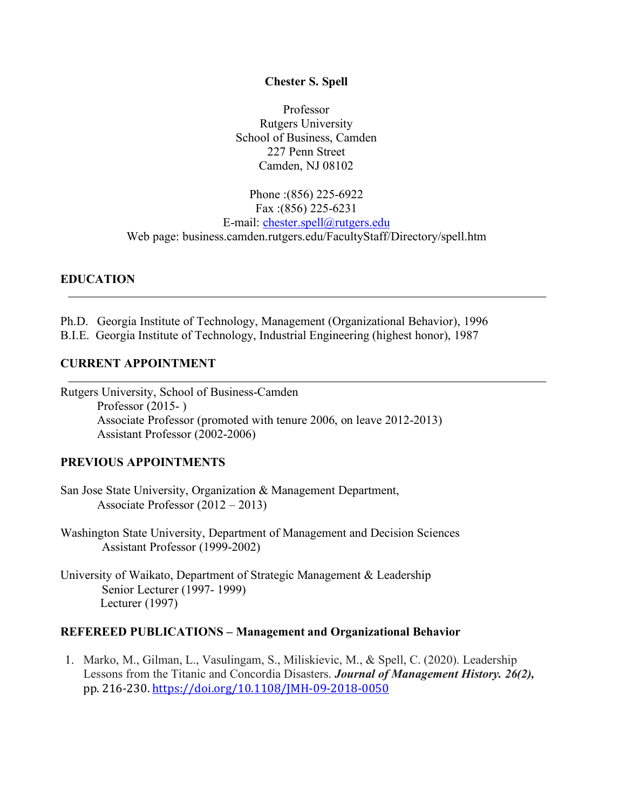## **Chester S. Spell**

Professor Rutgers University School of Business, Camden 227 Penn Street Camden, NJ 08102

Phone :(856) 225-6922 Fax :(856) 225-6231 E-mail: chester.spell@rutgers.edu Web page: business.camden.rutgers.edu/FacultyStaff/Directory/spell.htm

## **EDUCATION**

Ph.D. Georgia Institute of Technology, Management (Organizational Behavior), 1996 B.I.E. Georgia Institute of Technology, Industrial Engineering (highest honor), 1987

## **CURRENT APPOINTMENT**

Rutgers University, School of Business-Camden Professor (2015- ) Associate Professor (promoted with tenure 2006, on leave 2012-2013) Assistant Professor (2002-2006)

#### **PREVIOUS APPOINTMENTS**

- San Jose State University, Organization & Management Department, Associate Professor (2012 – 2013)
- Washington State University, Department of Management and Decision Sciences Assistant Professor (1999-2002)
- University of Waikato, Department of Strategic Management & Leadership Senior Lecturer (1997- 1999) Lecturer (1997)

#### **REFEREED PUBLICATIONS – Management and Organizational Behavior**

1. Marko, M., Gilman, L., Vasulingam, S., Miliskievic, M., & Spell, C. (2020). Leadership Lessons from the Titanic and Concordia Disasters. *Journal of Management History. 26(2),* pp. 216-230. https://doi.org/10.1108/JMH-09-2018-0050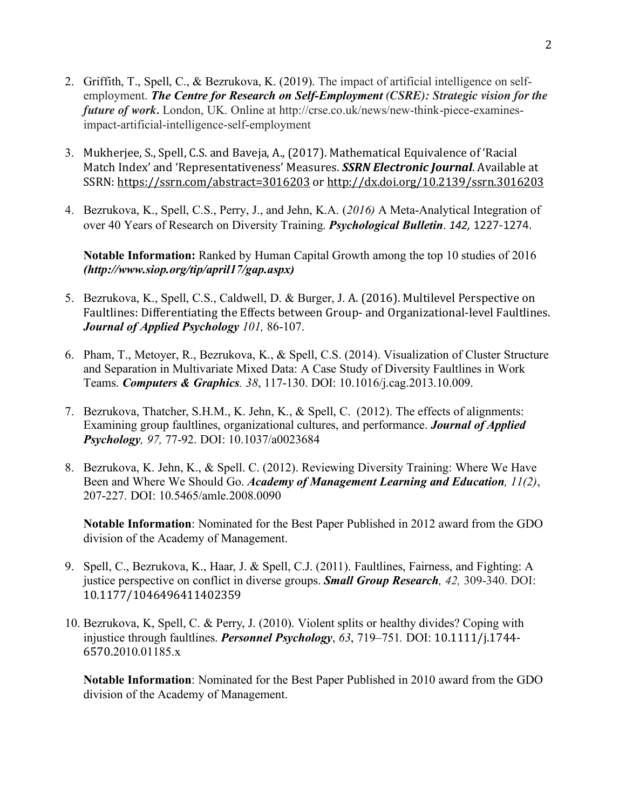- 2. Griffith, T., Spell, C., & Bezrukova, K. (2019). The impact of artificial intelligence on selfemployment. *The Centre for Research on Self-Employment (CSRE): Strategic vision for the future of work.* London, UK. Online at http://crse.co.uk/news/new-think-piece-examinesimpact-artificial-intelligence-self-employment
- 3. Mukherjee, S., Spell, C.S. and Baveja, A., (2017). Mathematical Equivalence of 'Racial Match Index' and 'Representativeness' Measures. *SSRN Electronic Journal*. Available at SSRN: https://ssrn.com/abstract=3016203 or http://dx.doi.org/10.2139/ssrn.3016203
- 4. Bezrukova, K., Spell, C.S., Perry, J., and Jehn, K.A. (*2016)* A Meta-Analytical Integration of over 40 Years of Research on Diversity Training. *Psychological Bulletin*. *142,* 1227-1274.

**Notable Information:** Ranked by Human Capital Growth among the top 10 studies of 2016 *(http://www.siop.org/tip/april17/gap.aspx)*

- 5. Bezrukova, K., Spell, C.S., Caldwell, D. & Burger, J. A. (2016). Multilevel Perspective on Faultlines: Differentiating the Effects between Group- and Organizational-level Faultlines. *Journal of Applied Psychology 101,* 86-107.
- 6. Pham, T., Metoyer, R., Bezrukova, K., & Spell, C.S. (2014). Visualization of Cluster Structure and Separation in Multivariate Mixed Data: A Case Study of Diversity Faultlines in Work Teams. *Computers & Graphics. 38*, 117-130. DOI: 10.1016/j.cag.2013.10.009.
- 7. Bezrukova, Thatcher, S.H.M., K. Jehn, K., & Spell, C. (2012). The effects of alignments: Examining group faultlines, organizational cultures, and performance. *Journal of Applied Psychology, 97,* 77-92. DOI: 10.1037/a0023684
- 8. Bezrukova, K. Jehn, K., & Spell. C. (2012). Reviewing Diversity Training: Where We Have Been and Where We Should Go. *Academy of Management Learning and Education, 11(2)*, 207-227. DOI: 10.5465/amle.2008.0090

**Notable Information**: Nominated for the Best Paper Published in 2012 award from the GDO division of the Academy of Management.

- 9. Spell, C., Bezrukova, K., Haar, J. & Spell, C.J. (2011). Faultlines, Fairness, and Fighting: A justice perspective on conflict in diverse groups. *Small Group Research, 42,* 309-340. DOI: 10.1177/1046496411402359
- 10. Bezrukova, K, Spell, C. & Perry, J. (2010). Violent splits or healthy divides? Coping with injustice through faultlines. *Personnel Psychology*, *63*, 719–751*.* DOI: 10.1111/j.1744- 6570.2010.01185.x

**Notable Information**: Nominated for the Best Paper Published in 2010 award from the GDO division of the Academy of Management.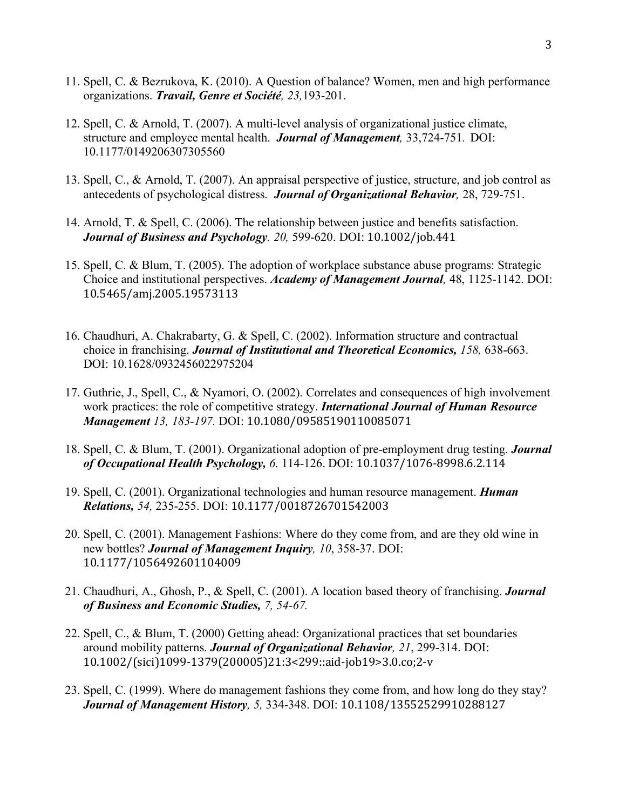- 11. Spell, C. & Bezrukova, K. (2010). A Question of balance? Women, men and high performance organizations. *Travail, Genre et Société, 23,*193-201.
- 12. Spell, C. & Arnold, T. (2007). A multi-level analysis of organizational justice climate, structure and employee mental health. *Journal of Management,* 33,724-751*.* DOI: 10.1177/0149206307305560
- 13. Spell, C., & Arnold, T. (2007). An appraisal perspective of justice, structure, and job control as antecedents of psychological distress. *Journal of Organizational Behavior,* 28, 729-751.
- 14. Arnold, T. & Spell, C. (2006). The relationship between justice and benefits satisfaction. *Journal of Business and Psychology. 20,* 599-620. DOI: 10.1002/job.441
- 15. Spell, C. & Blum, T. (2005). The adoption of workplace substance abuse programs: Strategic Choice and institutional perspectives. *Academy of Management Journal,* 48, 1125-1142. DOI: 10.5465/amj.2005.19573113
- 16. Chaudhuri, A. Chakrabarty, G. & Spell, C. (2002). Information structure and contractual choice in franchising. *Journal of Institutional and Theoretical Economics, 158,* 638-663. DOI: 10.1628/0932456022975204
- 17. Guthrie, J., Spell, C., & Nyamori, O. (2002). Correlates and consequences of high involvement work practices: the role of competitive strategy. *International Journal of Human Resource Management 13, 183-197.* DOI: 10.1080/09585190110085071
- 18. Spell, C. & Blum, T. (2001). Organizational adoption of pre-employment drug testing. *Journal of Occupational Health Psychology, 6*. 114-126. DOI: 10.1037/1076-8998.6.2.114
- 19. Spell, C. (2001). Organizational technologies and human resource management. *Human Relations, 54,* 235-255. DOI: 10.1177/0018726701542003
- 20. Spell, C. (2001). Management Fashions: Where do they come from, and are they old wine in new bottles? *Journal of Management Inquiry, 10*, 358-37. DOI: 10.1177/1056492601104009
- 21. Chaudhuri, A., Ghosh, P., & Spell, C. (2001). A location based theory of franchising. *Journal of Business and Economic Studies, 7, 54-67.*
- 22. Spell, C., & Blum, T. (2000) Getting ahead: Organizational practices that set boundaries around mobility patterns. *Journal of Organizational Behavior, 21*, 299-314. DOI: 10.1002/(sici)1099-1379(200005)21:3<299::aid-job19>3.0.co;2-v
- 23. Spell, C. (1999). Where do management fashions they come from, and how long do they stay? *Journal of Management History, 5,* 334-348. DOI: 10.1108/13552529910288127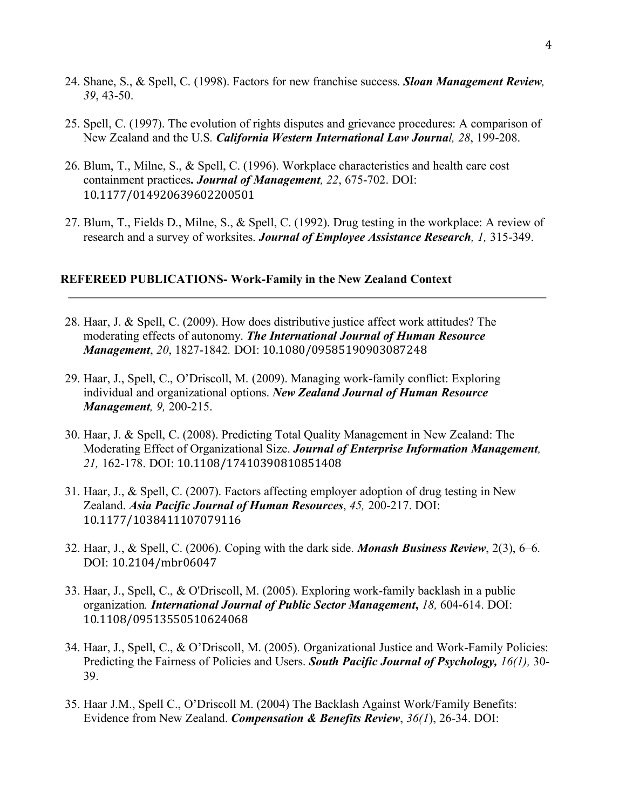- 24. Shane, S., & Spell, C. (1998). Factors for new franchise success. *Sloan Management Review, 39*, 43-50.
- 25. Spell, C. (1997). The evolution of rights disputes and grievance procedures: A comparison of New Zealand and the U.S*. California Western International Law Journal, 28*, 199-208.
- 26. Blum, T., Milne, S., & Spell, C. (1996). Workplace characteristics and health care cost containment practices**.** *Journal of Management, 22*, 675-702. DOI: 10.1177/014920639602200501
- 27. Blum, T., Fields D., Milne, S., & Spell, C. (1992). Drug testing in the workplace: A review of research and a survey of worksites. *Journal of Employee Assistance Research, 1,* 315-349.

#### **REFEREED PUBLICATIONS- Work-Family in the New Zealand Context**

- 28. Haar, J. & Spell, C. (2009). How does distributive justice affect work attitudes? The moderating effects of autonomy. *The International Journal of Human Resource Management*, *20*, 1827-1842*.* DOI: 10.1080/09585190903087248
- 29. Haar, J., Spell, C., O'Driscoll, M. (2009). Managing work-family conflict: Exploring individual and organizational options. *New Zealand Journal of Human Resource Management, 9,* 200-215.
- 30. Haar, J. & Spell, C. (2008). Predicting Total Quality Management in New Zealand: The Moderating Effect of Organizational Size. *Journal of Enterprise Information Management, 21,* 162-178. DOI: 10.1108/17410390810851408
- 31. Haar, J., & Spell, C. (2007). Factors affecting employer adoption of drug testing in New Zealand. *Asia Pacific Journal of Human Resources*, *45,* 200-217. DOI: 10.1177/1038411107079116
- 32. Haar, J., & Spell, C. (2006). Coping with the dark side. *Monash Business Review*, 2(3), 6–6. DOI: 10.2104/mbr06047
- 33. Haar, J., Spell, C., & O'Driscoll, M. (2005). Exploring work-family backlash in a public organization*. International Journal of Public Sector Management***,** *18,* 604-614. DOI: 10.1108/09513550510624068
- 34. Haar, J., Spell, C., & O'Driscoll, M. (2005). Organizational Justice and Work-Family Policies: Predicting the Fairness of Policies and Users. *South Pacific Journal of Psychology, 16(1),* 30- 39.
- 35. Haar J.M., Spell C., O'Driscoll M. (2004) The Backlash Against Work/Family Benefits: Evidence from New Zealand. *Compensation & Benefits Review*, *36(1*), 26-34. DOI: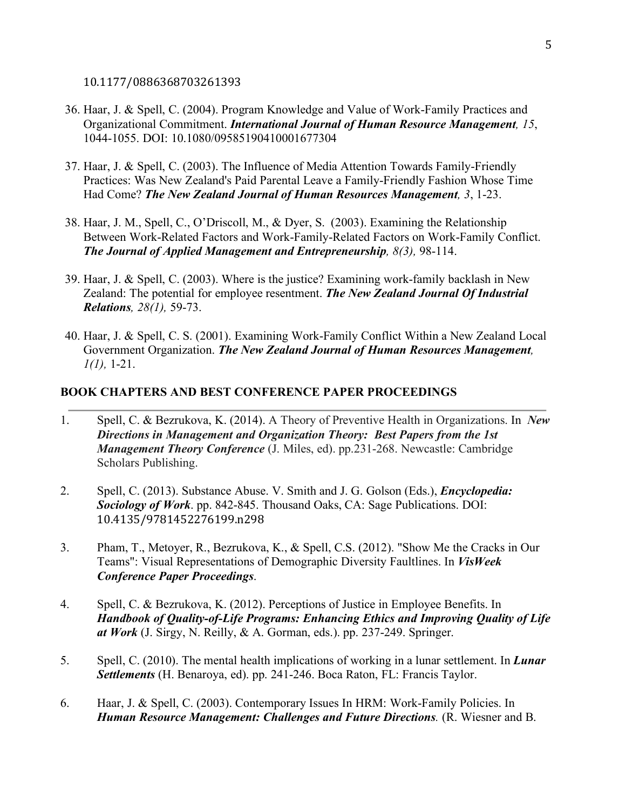10.1177/0886368703261393

- 36. Haar, J. & Spell, C. (2004). Program Knowledge and Value of Work-Family Practices and Organizational Commitment. *International Journal of Human Resource Management, 15*, 1044-1055. DOI: 10.1080/09585190410001677304
- 37. Haar, J. & Spell, C. (2003). The Influence of Media Attention Towards Family-Friendly Practices: Was New Zealand's Paid Parental Leave a Family-Friendly Fashion Whose Time Had Come? *The New Zealand Journal of Human Resources Management, 3*, 1-23.
- 38. Haar, J. M., Spell, C., O'Driscoll, M., & Dyer, S. (2003). Examining the Relationship Between Work-Related Factors and Work-Family-Related Factors on Work-Family Conflict. *The Journal of Applied Management and Entrepreneurship, 8(3),* 98-114.
- 39. Haar, J. & Spell, C. (2003). Where is the justice? Examining work-family backlash in New Zealand: The potential for employee resentment. *The New Zealand Journal Of Industrial Relations, 28(1),* 59-73.
- 40. Haar, J. & Spell, C. S. (2001). Examining Work-Family Conflict Within a New Zealand Local Government Organization. *The New Zealand Journal of Human Resources Management, 1(1),* 1-21.

## **BOOK CHAPTERS AND BEST CONFERENCE PAPER PROCEEDINGS**

- 1. Spell, C. & Bezrukova, K. (2014). A Theory of Preventive Health in Organizations. In *New Directions in Management and Organization Theory: Best Papers from the 1st Management Theory Conference* (J. Miles, ed). pp.231-268. Newcastle: Cambridge Scholars Publishing.
- 2. Spell, C. (2013). Substance Abuse. V. Smith and J. G. Golson (Eds.), *Encyclopedia: Sociology of Work*. pp. 842-845. Thousand Oaks, CA: Sage Publications. DOI: 10.4135/9781452276199.n298
- 3. Pham, T., Metoyer, R., Bezrukova, K., & Spell, C.S. (2012). "Show Me the Cracks in Our Teams": Visual Representations of Demographic Diversity Faultlines. In *VisWeek Conference Paper Proceedings*.
- 4. Spell, C. & Bezrukova, K. (2012). Perceptions of Justice in Employee Benefits. In *Handbook of Quality-of-Life Programs: Enhancing Ethics and Improving Quality of Life at Work* (J. Sirgy, N. Reilly, & A. Gorman, eds.). pp. 237-249. Springer.
- 5. Spell, C. (2010). The mental health implications of working in a lunar settlement. In *Lunar Settlements* (H. Benaroya, ed). pp. 241-246. Boca Raton, FL: Francis Taylor.
- 6. Haar, J. & Spell, C. (2003). Contemporary Issues In HRM: Work-Family Policies. In *Human Resource Management: Challenges and Future Directions.* (R. Wiesner and B.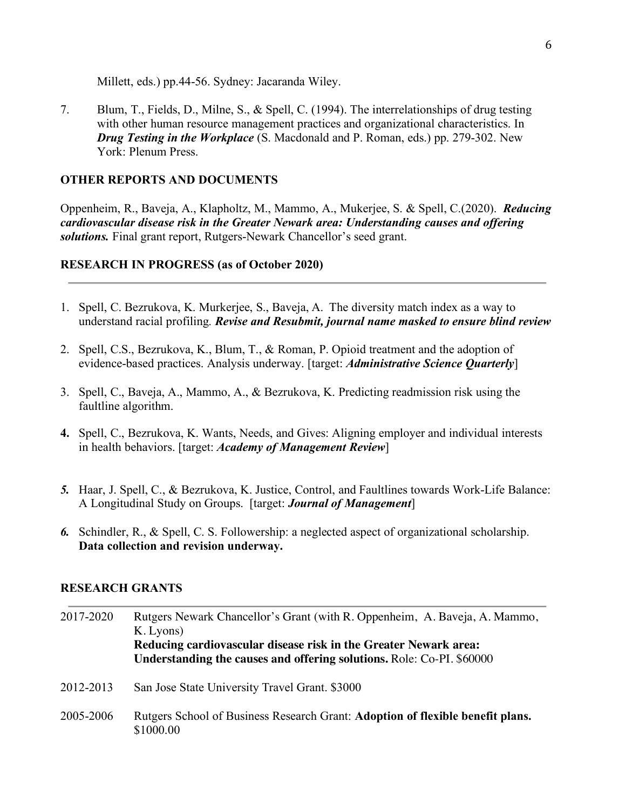Millett, eds.) pp.44-56. Sydney: Jacaranda Wiley.

7. Blum, T., Fields, D., Milne, S., & Spell, C. (1994). The interrelationships of drug testing with other human resource management practices and organizational characteristics. In *Drug Testing in the Workplace* (S. Macdonald and P. Roman, eds.) pp. 279-302. New York: Plenum Press.

## **OTHER REPORTS AND DOCUMENTS**

Oppenheim, R., Baveja, A., Klapholtz, M., Mammo, A., Mukerjee, S. & Spell, C.(2020). *Reducing cardiovascular disease risk in the Greater Newark area: Understanding causes and offering solutions.* Final grant report, Rutgers-Newark Chancellor's seed grant.

## **RESEARCH IN PROGRESS (as of October 2020)**

- 1. Spell, C. Bezrukova, K. Murkerjee, S., Baveja, A. The diversity match index as a way to understand racial profiling*. Revise and Resubmit, journal name masked to ensure blind review*
- 2. Spell, C.S., Bezrukova, K., Blum, T., & Roman, P. Opioid treatment and the adoption of evidence-based practices. Analysis underway. [target: *Administrative Science Quarterly*]
- 3. Spell, C., Baveja, A., Mammo, A., & Bezrukova, K. Predicting readmission risk using the faultline algorithm.
- **4.** Spell, C., Bezrukova, K. Wants, Needs, and Gives: Aligning employer and individual interests in health behaviors. [target: *Academy of Management Review*]
- *5.* Haar, J. Spell, C., & Bezrukova, K. Justice, Control, and Faultlines towards Work-Life Balance: A Longitudinal Study on Groups. [target: *Journal of Management*]
- *6.* Schindler, R., & Spell, C. S. Followership: a neglected aspect of organizational scholarship. **Data collection and revision underway.**

## **RESEARCH GRANTS**

| 2017-2020 | Rutgers Newark Chancellor's Grant (with R. Oppenheim, A. Baveja, A. Mammo,<br>K. Lyons)<br>Reducing cardiovascular disease risk in the Greater Newark area:<br>Understanding the causes and offering solutions. Role: Co-PI. \$60000 |
|-----------|--------------------------------------------------------------------------------------------------------------------------------------------------------------------------------------------------------------------------------------|
| 2012-2013 | San Jose State University Travel Grant. \$3000                                                                                                                                                                                       |
| 2005-2006 | Rutgers School of Business Research Grant: Adoption of flexible benefit plans.<br>\$1000.00                                                                                                                                          |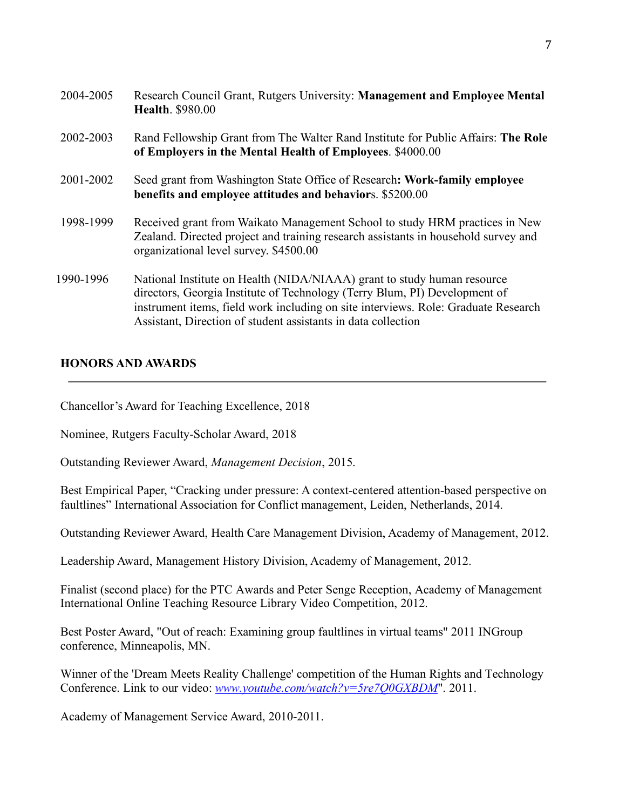| 2004-2005 | Research Council Grant, Rutgers University: Management and Employee Mental<br><b>Health.</b> \$980.00                                                                                                                                                                                                        |
|-----------|--------------------------------------------------------------------------------------------------------------------------------------------------------------------------------------------------------------------------------------------------------------------------------------------------------------|
| 2002-2003 | Rand Fellowship Grant from The Walter Rand Institute for Public Affairs: The Role<br>of Employers in the Mental Health of Employees. \$4000.00                                                                                                                                                               |
| 2001-2002 | Seed grant from Washington State Office of Research: Work-family employee<br>benefits and employee attitudes and behaviors. \$5200.00                                                                                                                                                                        |
| 1998-1999 | Received grant from Waikato Management School to study HRM practices in New<br>Zealand. Directed project and training research assistants in household survey and<br>organizational level survey. \$4500.00                                                                                                  |
| 1990-1996 | National Institute on Health (NIDA/NIAAA) grant to study human resource<br>directors, Georgia Institute of Technology (Terry Blum, PI) Development of<br>instrument items, field work including on site interviews. Role: Graduate Research<br>Assistant, Direction of student assistants in data collection |

## **HONORS AND AWARDS**

Chancellor's Award for Teaching Excellence, 2018

Nominee, Rutgers Faculty-Scholar Award, 2018

Outstanding Reviewer Award, *Management Decision*, 2015.

Best Empirical Paper, "Cracking under pressure: A context-centered attention-based perspective on faultlines" International Association for Conflict management, Leiden, Netherlands, 2014.

Outstanding Reviewer Award, Health Care Management Division, Academy of Management, 2012.

Leadership Award, Management History Division, Academy of Management, 2012.

Finalist (second place) for the PTC Awards and Peter Senge Reception, Academy of Management International Online Teaching Resource Library Video Competition, 2012.

Best Poster Award, "Out of reach: Examining group faultlines in virtual teams" 2011 INGroup conference, Minneapolis, MN.

Winner of the 'Dream Meets Reality Challenge' competition of the Human Rights and Technology Conference. Link to our video: *www.youtube.com/watch?v=5re7Q0GXBDM*". 2011.

Academy of Management Service Award, 2010-2011.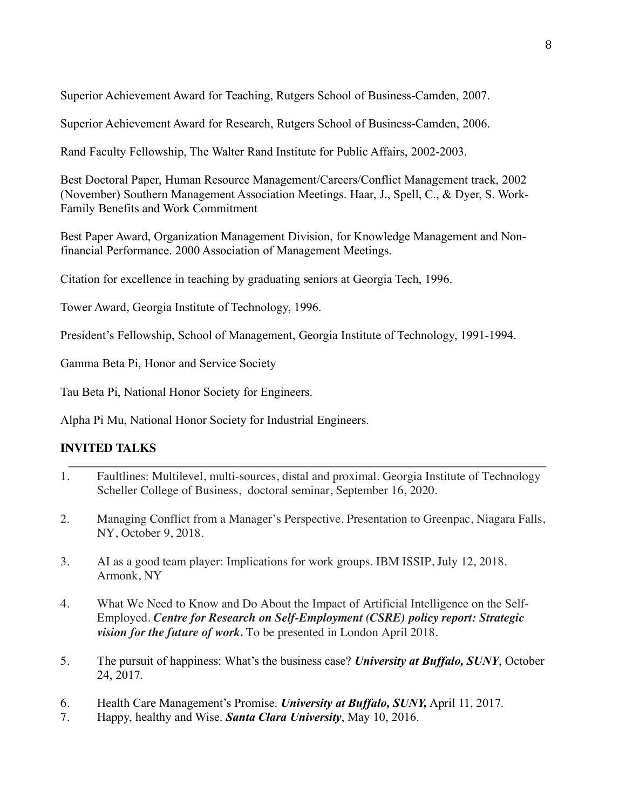Superior Achievement Award for Teaching, Rutgers School of Business-Camden, 2007.

Superior Achievement Award for Research, Rutgers School of Business-Camden, 2006.

Rand Faculty Fellowship, The Walter Rand Institute for Public Affairs, 2002-2003.

Best Doctoral Paper, Human Resource Management/Careers/Conflict Management track, 2002 (November) Southern Management Association Meetings. Haar, J., Spell, C., & Dyer, S. Work-Family Benefits and Work Commitment

Best Paper Award, Organization Management Division, for Knowledge Management and Nonfinancial Performance. 2000 Association of Management Meetings.

Citation for excellence in teaching by graduating seniors at Georgia Tech, 1996.

Tower Award, Georgia Institute of Technology, 1996.

President's Fellowship, School of Management, Georgia Institute of Technology, 1991-1994.

Gamma Beta Pi, Honor and Service Society

Tau Beta Pi, National Honor Society for Engineers.

Alpha Pi Mu, National Honor Society for Industrial Engineers.

# **INVITED TALKS**

- 1. Faultlines: Multilevel, multi-sources, distal and proximal. Georgia Institute of Technology Scheller College of Business, doctoral seminar, September 16, 2020.
- 2. Managing Conflict from a Manager's Perspective. Presentation to Greenpac, Niagara Falls, NY, October 9, 2018.
- 3. AI as a good team player: Implications for work groups. IBM ISSIP, July 12, 2018. Armonk, NY
- 4. What We Need to Know and Do About the Impact of Artificial Intelligence on the Self-Employed. *Centre for Research on Self-Employment (CSRE) policy report: Strategic vision for the future of work.* To be presented in London April 2018.
- 5. The pursuit of happiness: What's the business case? *University at Buffalo, SUNY*, October 24, 2017.
- 6. Health Care Management's Promise. *University at Buffalo, SUNY,* April 11, 2017.
- 7. Happy, healthy and Wise. *Santa Clara University*, May 10, 2016.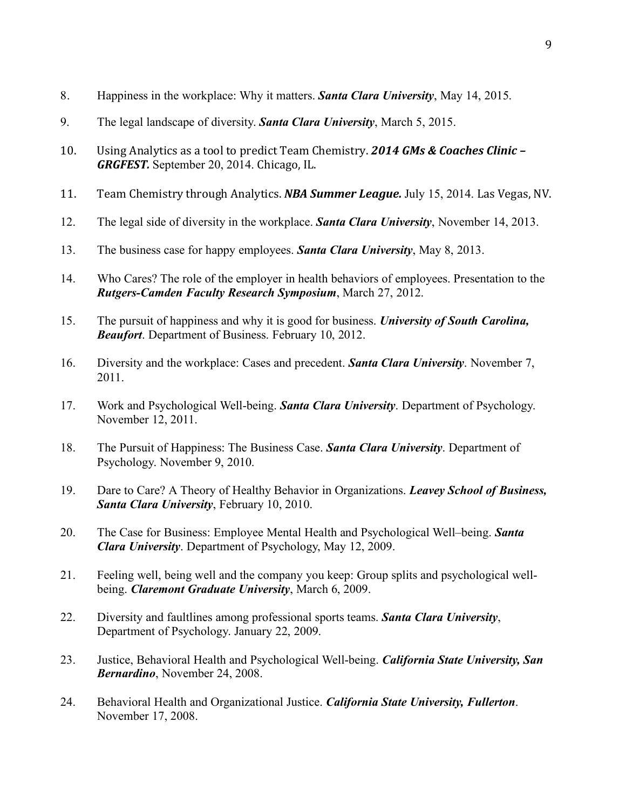- 8. Happiness in the workplace: Why it matters. *Santa Clara University*, May 14, 2015.
- 9. The legal landscape of diversity. *Santa Clara University*, March 5, 2015.
- 10. Using Analytics as a tool to predict Team Chemistry. **2014 GMs & Coaches Clinic** *GRGFEST.* September 20, 2014. Chicago, IL.
- 11. Team Chemistry through Analytics. *NBA Summer League.* July 15, 2014. Las Vegas, NV.
- 12. The legal side of diversity in the workplace. *Santa Clara University*, November 14, 2013.
- 13. The business case for happy employees. *Santa Clara University*, May 8, 2013.
- 14. Who Cares? The role of the employer in health behaviors of employees. Presentation to the *Rutgers-Camden Faculty Research Symposium*, March 27, 2012.
- 15. The pursuit of happiness and why it is good for business. *University of South Carolina, Beaufort*. Department of Business. February 10, 2012.
- 16. Diversity and the workplace: Cases and precedent. *Santa Clara University*. November 7, 2011.
- 17. Work and Psychological Well-being. *Santa Clara University*. Department of Psychology. November 12, 2011.
- 18. The Pursuit of Happiness: The Business Case. *Santa Clara University*. Department of Psychology. November 9, 2010.
- 19. Dare to Care? A Theory of Healthy Behavior in Organizations. *Leavey School of Business, Santa Clara University*, February 10, 2010.
- 20. The Case for Business: Employee Mental Health and Psychological Well–being. *Santa Clara University*. Department of Psychology, May 12, 2009.
- 21. Feeling well, being well and the company you keep: Group splits and psychological wellbeing. *Claremont Graduate University*, March 6, 2009.
- 22. Diversity and faultlines among professional sports teams. *Santa Clara University*, Department of Psychology. January 22, 2009.
- 23. Justice, Behavioral Health and Psychological Well-being. *California State University, San Bernardino*, November 24, 2008.
- 24. Behavioral Health and Organizational Justice. *California State University, Fullerton*. November 17, 2008.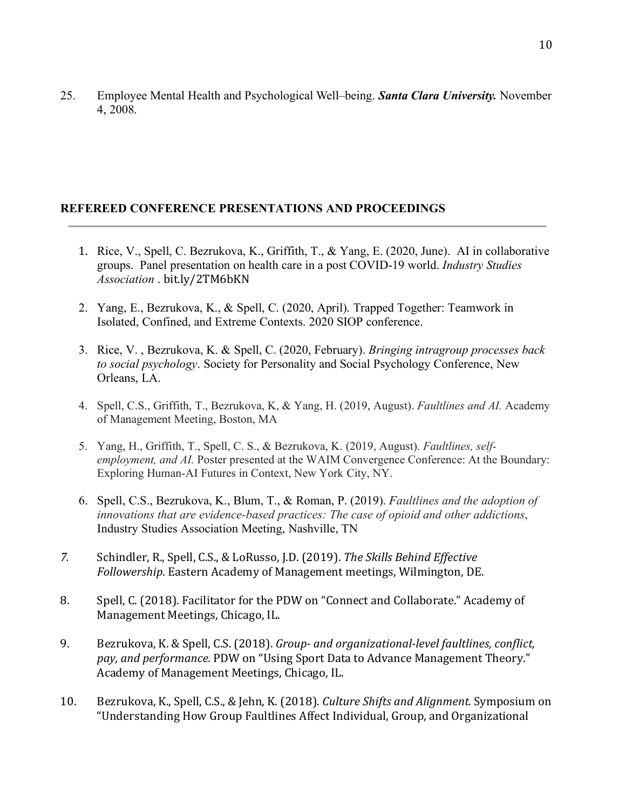25. Employee Mental Health and Psychological Well–being. *Santa Clara University.* November 4, 2008.

# **REFEREED CONFERENCE PRESENTATIONS AND PROCEEDINGS**

- 1. Rice, V., Spell, C. Bezrukova, K., Griffith, T., & Yang, E. (2020, June). AI in collaborative groups. Panel presentation on health care in a post COVID-19 world. *Industry Studies Association* . bit.ly/2TM6bKN
- 2. Yang, E., Bezrukova, K., & Spell, C. (2020, April). Trapped Together: Teamwork in Isolated, Confined, and Extreme Contexts. 2020 SIOP conference.
- 3. Rice, V. , Bezrukova, K. & Spell, C. (2020, February). *Bringing intragroup processes back to social psychology*. Society for Personality and Social Psychology Conference, New Orleans, LA.
- 4. Spell, C.S., Griffith, T., Bezrukova, K, & Yang, H. (2019, August). *Faultlines and AI.* Academy of Management Meeting, Boston, MA
- 5. Yang, H., Griffith, T., Spell, C. S., & Bezrukova, K. (2019, August). *Faultlines, selfemployment, and AI.* Poster presented at the WAIM Convergence Conference: At the Boundary: Exploring Human-AI Futures in Context, New York City, NY.
- 6. Spell, C.S., Bezrukova, K., Blum, T., & Roman, P. (2019). *Faultlines and the adoption of innovations that are evidence-based practices: The case of opioid and other addictions*, Industry Studies Association Meeting, Nashville, TN
- 7. Schindler, R., Spell, C.S., & LoRusso, J.D. (2019). The Skills Behind Effective *Followership.* Eastern Academy of Management meetings, Wilmington, DE.
- 8. Spell, C. (2018). Facilitator for the PDW on "Connect and Collaborate." Academy of Management Meetings, Chicago, IL.
- 9. Bezrukova, K. & Spell, C.S. (2018). *Group-* and organizational-level faultlines, conflict, pay, and performance. PDW on "Using Sport Data to Advance Management Theory." Academy of Management Meetings, Chicago, IL.
- 10. Bezrukova, K., Spell, C.S., & Jehn, K. (2018). *Culture Shifts and Alignment.* Symposium on "Understanding How Group Faultlines Affect Individual, Group, and Organizational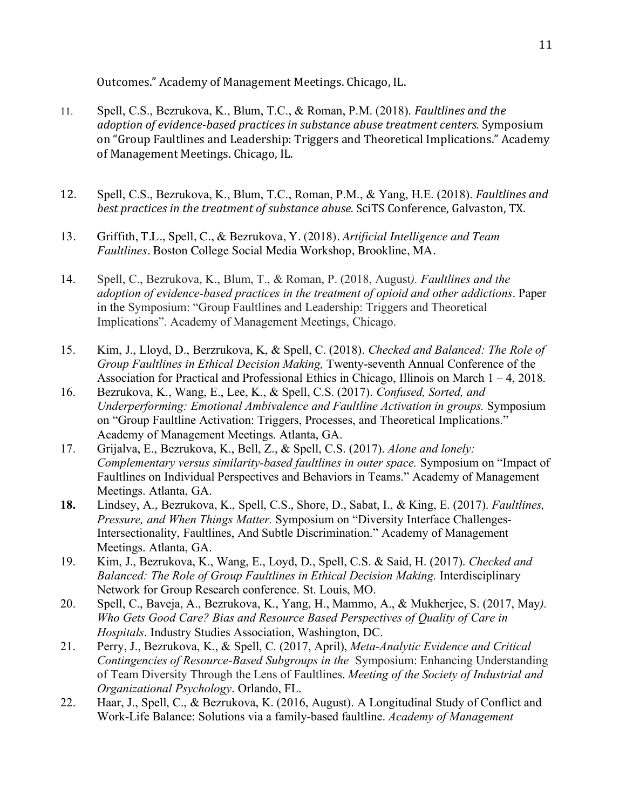Outcomes." Academy of Management Meetings. Chicago, IL.

- 11. Spell, C.S., Bezrukova, K., Blum, T.C., & Roman, P.M. (2018). *Faultlines and the adoption of evidence-based practices in substance abuse treatment centers.* Symposium on "Group Faultlines and Leadership: Triggers and Theoretical Implications." Academy of Management Meetings. Chicago, IL.
- 12. Spell, C.S., Bezrukova, K., Blum, T.C., Roman, P.M., & Yang, H.E. (2018). *Faultlines and best practices in the treatment of substance abuse.* SciTS Conference, Galvaston, TX.
- 13. Griffith, T.L., Spell, C., & Bezrukova, Y. (2018). *Artificial Intelligence and Team Faultlines*. Boston College Social Media Workshop, Brookline, MA.
- 14. Spell, C., Bezrukova, K., Blum, T., & Roman, P. (2018, August*). Faultlines and the adoption of evidence-based practices in the treatment of opioid and other addictions*. Paper in the Symposium: "Group Faultlines and Leadership: Triggers and Theoretical Implications". Academy of Management Meetings, Chicago.
- 15. Kim, J., Lloyd, D., Berzrukova, K, & Spell, C. (2018). *Checked and Balanced: The Role of Group Faultlines in Ethical Decision Making,* Twenty-seventh Annual Conference of the Association for Practical and Professional Ethics in Chicago, Illinois on March 1 – 4, 2018.
- 16. Bezrukova, K., Wang, E., Lee, K., & Spell, C.S. (2017). *Confused, Sorted, and Underperforming: Emotional Ambivalence and Faultline Activation in groups.* Symposium on "Group Faultline Activation: Triggers, Processes, and Theoretical Implications." Academy of Management Meetings. Atlanta, GA.
- 17. Grijalva, E., Bezrukova, K., Bell, Z., & Spell, C.S. (2017). *Alone and lonely: Complementary versus similarity-based faultlines in outer space.* Symposium on "Impact of Faultlines on Individual Perspectives and Behaviors in Teams." Academy of Management Meetings. Atlanta, GA.
- **18.** Lindsey, A., Bezrukova, K., Spell, C.S., Shore, D., Sabat, I., & King, E. (2017). *Faultlines, Pressure, and When Things Matter.* Symposium on "Diversity Interface Challenges-Intersectionality, Faultlines, And Subtle Discrimination." Academy of Management Meetings. Atlanta, GA.
- 19. Kim, J., Bezrukova, K., Wang, E., Loyd, D., Spell, C.S. & Said, H. (2017). *Checked and Balanced: The Role of Group Faultlines in Ethical Decision Making.* Interdisciplinary Network for Group Research conference. St. Louis, MO.
- 20. Spell, C., Baveja, A., Bezrukova, K., Yang, H., Mammo, A., & Mukherjee, S. (2017, May*). Who Gets Good Care? Bias and Resource Based Perspectives of Quality of Care in Hospitals*. Industry Studies Association, Washington, DC.
- 21. Perry, J., Bezrukova, K., & Spell, C. (2017, April), *Meta-Analytic Evidence and Critical Contingencies of Resource-Based Subgroups in the* Symposium: Enhancing Understanding of Team Diversity Through the Lens of Faultlines. *Meeting of the Society of Industrial and Organizational Psychology*. Orlando, FL.
- 22. Haar, J., Spell, C., & Bezrukova, K. (2016, August). A Longitudinal Study of Conflict and Work-Life Balance: Solutions via a family-based faultline. *Academy of Management*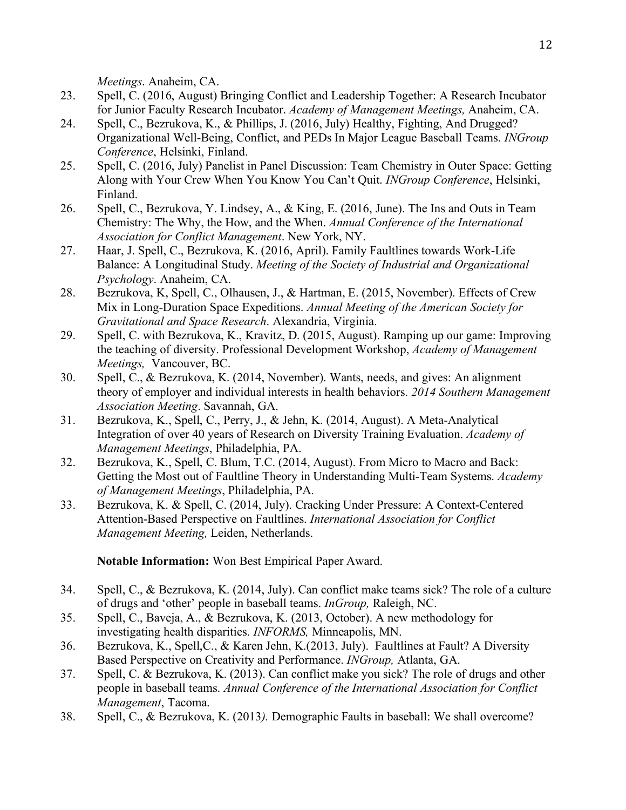*Meetings*. Anaheim, CA.

- 23. Spell, C. (2016, August) Bringing Conflict and Leadership Together: A Research Incubator for Junior Faculty Research Incubator. *Academy of Management Meetings,* Anaheim, CA.
- 24. Spell, C., Bezrukova, K., & Phillips, J. (2016, July) Healthy, Fighting, And Drugged? Organizational Well-Being, Conflict, and PEDs In Major League Baseball Teams. *INGroup Conference*, Helsinki, Finland.
- 25. Spell, C. (2016, July) Panelist in Panel Discussion: Team Chemistry in Outer Space: Getting Along with Your Crew When You Know You Can't Quit. *INGroup Conference*, Helsinki, Finland.
- 26. Spell, C., Bezrukova, Y. Lindsey, A., & King, E. (2016, June). The Ins and Outs in Team Chemistry: The Why, the How, and the When. *Annual Conference of the International Association for Conflict Management*. New York, NY.
- 27. Haar, J. Spell, C., Bezrukova, K. (2016, April). Family Faultlines towards Work-Life Balance: A Longitudinal Study. *Meeting of the Society of Industrial and Organizational Psychology*. Anaheim, CA.
- 28. Bezrukova, K, Spell, C., Olhausen, J., & Hartman, E. (2015, November). Effects of Crew Mix in Long-Duration Space Expeditions. *Annual Meeting of the American Society for Gravitational and Space Research*. Alexandria, Virginia.
- 29. Spell, C. with Bezrukova, K., Kravitz, D. (2015, August). Ramping up our game: Improving the teaching of diversity. Professional Development Workshop, *Academy of Management Meetings,* Vancouver, BC.
- 30. Spell, C., & Bezrukova, K. (2014, November). Wants, needs, and gives: An alignment theory of employer and individual interests in health behaviors. *2014 Southern Management Association Meeting*. Savannah, GA.
- 31. Bezrukova, K., Spell, C., Perry, J., & Jehn, K. (2014, August). A Meta-Analytical Integration of over 40 years of Research on Diversity Training Evaluation. *Academy of Management Meetings*, Philadelphia, PA.
- 32. Bezrukova, K., Spell, C. Blum, T.C. (2014, August). From Micro to Macro and Back: Getting the Most out of Faultline Theory in Understanding Multi-Team Systems. *Academy of Management Meetings*, Philadelphia, PA.
- 33. Bezrukova, K. & Spell, C. (2014, July). Cracking Under Pressure: A Context-Centered Attention-Based Perspective on Faultlines. *International Association for Conflict Management Meeting,* Leiden, Netherlands.

**Notable Information:** Won Best Empirical Paper Award.

- 34. Spell, C., & Bezrukova, K. (2014, July). Can conflict make teams sick? The role of a culture of drugs and 'other' people in baseball teams. *InGroup,* Raleigh, NC.
- 35. Spell, C., Baveja, A., & Bezrukova, K. (2013, October). A new methodology for investigating health disparities. *INFORMS,* Minneapolis, MN.
- 36. Bezrukova, K., Spell,C., & Karen Jehn, K.(2013, July). Faultlines at Fault? A Diversity Based Perspective on Creativity and Performance. *INGroup,* Atlanta, GA.
- 37. Spell, C. & Bezrukova, K. (2013). Can conflict make you sick? The role of drugs and other people in baseball teams. *Annual Conference of the International Association for Conflict Management*, Tacoma.
- 38. Spell, C., & Bezrukova, K. (2013*).* Demographic Faults in baseball: We shall overcome?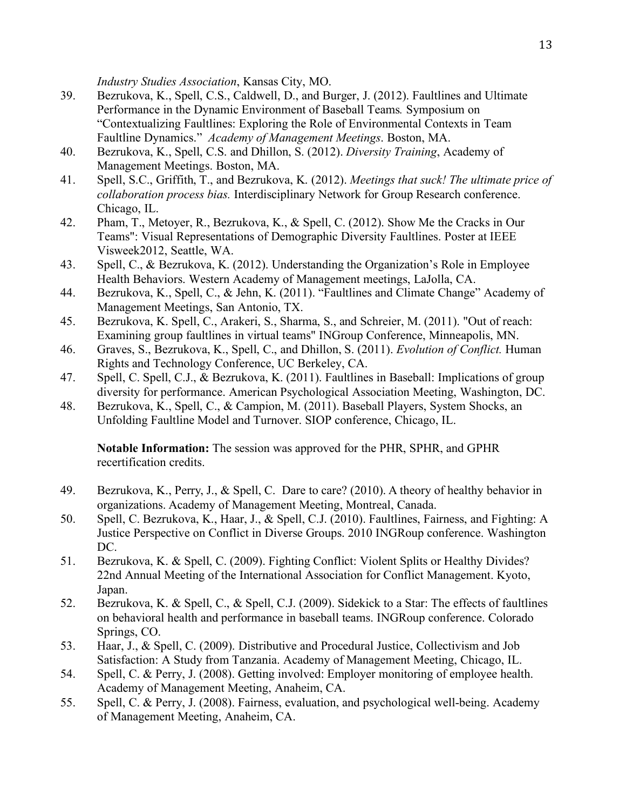*Industry Studies Association*, Kansas City, MO.

- 39. Bezrukova, K., Spell, C.S., Caldwell, D., and Burger, J. (2012). Faultlines and Ultimate Performance in the Dynamic Environment of Baseball Teams*.* Symposium on "Contextualizing Faultlines: Exploring the Role of Environmental Contexts in Team Faultline Dynamics." *Academy of Management Meetings*. Boston, MA.
- 40. Bezrukova, K., Spell, C.S. and Dhillon, S. (2012). *Diversity Training*, Academy of Management Meetings. Boston, MA.
- 41. Spell, S.C., Griffith, T., and Bezrukova, K. (2012). *Meetings that suck! The ultimate price of collaboration process bias.* Interdisciplinary Network for Group Research conference. Chicago, IL.
- 42. Pham, T., Metoyer, R., Bezrukova, K., & Spell, C. (2012). Show Me the Cracks in Our Teams": Visual Representations of Demographic Diversity Faultlines. Poster at IEEE Visweek2012, Seattle, WA.
- 43. Spell, C., & Bezrukova, K. (2012). Understanding the Organization's Role in Employee Health Behaviors. Western Academy of Management meetings, LaJolla, CA.
- 44. Bezrukova, K., Spell, C., & Jehn, K. (2011). "Faultlines and Climate Change" Academy of Management Meetings, San Antonio, TX.
- 45. Bezrukova, K. Spell, C., Arakeri, S., Sharma, S., and Schreier, M. (2011). "Out of reach: Examining group faultlines in virtual teams" INGroup Conference, Minneapolis, MN.
- 46. Graves, S., Bezrukova, K., Spell, C., and Dhillon, S. (2011). *Evolution of Conflict.* Human Rights and Technology Conference, UC Berkeley, CA.
- 47. Spell, C. Spell, C.J., & Bezrukova, K. (2011). Faultlines in Baseball: Implications of group diversity for performance. American Psychological Association Meeting, Washington, DC.
- 48. Bezrukova, K., Spell, C., & Campion, M. (2011). Baseball Players, System Shocks, an Unfolding Faultline Model and Turnover. SIOP conference, Chicago, IL.

**Notable Information:** The session was approved for the PHR, SPHR, and GPHR recertification credits.

- 49. Bezrukova, K., Perry, J., & Spell, C. Dare to care? (2010). A theory of healthy behavior in organizations. Academy of Management Meeting, Montreal, Canada.
- 50. Spell, C. Bezrukova, K., Haar, J., & Spell, C.J. (2010). Faultlines, Fairness, and Fighting: A Justice Perspective on Conflict in Diverse Groups. 2010 INGRoup conference. Washington DC.
- 51. Bezrukova, K. & Spell, C. (2009). Fighting Conflict: Violent Splits or Healthy Divides? 22nd Annual Meeting of the International Association for Conflict Management. Kyoto, Japan.
- 52. Bezrukova, K. & Spell, C., & Spell, C.J. (2009). Sidekick to a Star: The effects of faultlines on behavioral health and performance in baseball teams. INGRoup conference. Colorado Springs, CO.
- 53. Haar, J., & Spell, C. (2009). Distributive and Procedural Justice, Collectivism and Job Satisfaction: A Study from Tanzania. Academy of Management Meeting, Chicago, IL.
- 54. Spell, C. & Perry, J. (2008). Getting involved: Employer monitoring of employee health. Academy of Management Meeting, Anaheim, CA.
- 55. Spell, C. & Perry, J. (2008). Fairness, evaluation, and psychological well-being. Academy of Management Meeting, Anaheim, CA.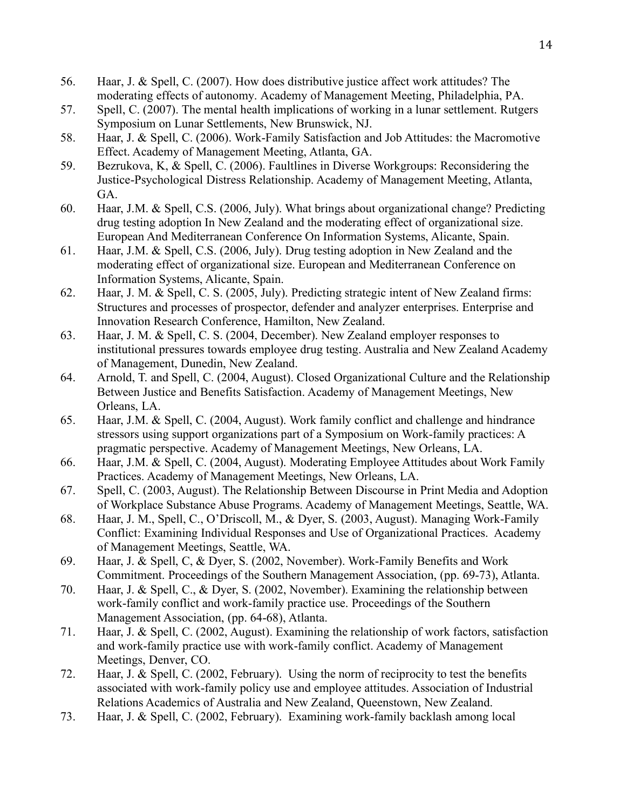- 56. Haar, J. & Spell, C. (2007). How does distributive justice affect work attitudes? The moderating effects of autonomy. Academy of Management Meeting, Philadelphia, PA.
- 57. Spell, C. (2007). The mental health implications of working in a lunar settlement. Rutgers Symposium on Lunar Settlements, New Brunswick, NJ.
- 58. Haar, J. & Spell, C. (2006). Work-Family Satisfaction and Job Attitudes: the Macromotive Effect. Academy of Management Meeting, Atlanta, GA.
- 59. Bezrukova, K, & Spell, C. (2006). Faultlines in Diverse Workgroups: Reconsidering the Justice-Psychological Distress Relationship. Academy of Management Meeting, Atlanta, GA.
- 60. Haar, J.M. & Spell, C.S. (2006, July). What brings about organizational change? Predicting drug testing adoption In New Zealand and the moderating effect of organizational size. European And Mediterranean Conference On Information Systems, Alicante, Spain.
- 61. Haar, J.M. & Spell, C.S. (2006, July). Drug testing adoption in New Zealand and the moderating effect of organizational size. European and Mediterranean Conference on Information Systems, Alicante, Spain.
- 62. Haar, J. M. & Spell, C. S. (2005, July). Predicting strategic intent of New Zealand firms: Structures and processes of prospector, defender and analyzer enterprises. Enterprise and Innovation Research Conference, Hamilton, New Zealand.
- 63. Haar, J. M. & Spell, C. S. (2004, December). New Zealand employer responses to institutional pressures towards employee drug testing. Australia and New Zealand Academy of Management, Dunedin, New Zealand.
- 64. Arnold, T. and Spell, C. (2004, August). Closed Organizational Culture and the Relationship Between Justice and Benefits Satisfaction. Academy of Management Meetings, New Orleans, LA.
- 65. Haar, J.M. & Spell, C. (2004, August). Work family conflict and challenge and hindrance stressors using support organizations part of a Symposium on Work-family practices: A pragmatic perspective. Academy of Management Meetings, New Orleans, LA.
- 66. Haar, J.M. & Spell, C. (2004, August). Moderating Employee Attitudes about Work Family Practices. Academy of Management Meetings, New Orleans, LA.
- 67. Spell, C. (2003, August). The Relationship Between Discourse in Print Media and Adoption of Workplace Substance Abuse Programs. Academy of Management Meetings, Seattle, WA.
- 68. Haar, J. M., Spell, C., O'Driscoll, M., & Dyer, S. (2003, August). Managing Work-Family Conflict: Examining Individual Responses and Use of Organizational Practices. Academy of Management Meetings, Seattle, WA.
- 69. Haar, J. & Spell, C, & Dyer, S. (2002, November). Work-Family Benefits and Work Commitment. Proceedings of the Southern Management Association, (pp. 69-73), Atlanta.
- 70. Haar, J. & Spell, C., & Dyer, S. (2002, November). Examining the relationship between work-family conflict and work-family practice use. Proceedings of the Southern Management Association, (pp. 64-68), Atlanta.
- 71. Haar, J. & Spell, C. (2002, August). Examining the relationship of work factors, satisfaction and work-family practice use with work-family conflict. Academy of Management Meetings, Denver, CO.
- 72. Haar, J. & Spell, C. (2002, February). Using the norm of reciprocity to test the benefits associated with work-family policy use and employee attitudes. Association of Industrial Relations Academics of Australia and New Zealand, Queenstown, New Zealand.
- 73. Haar, J. & Spell, C. (2002, February). Examining work-family backlash among local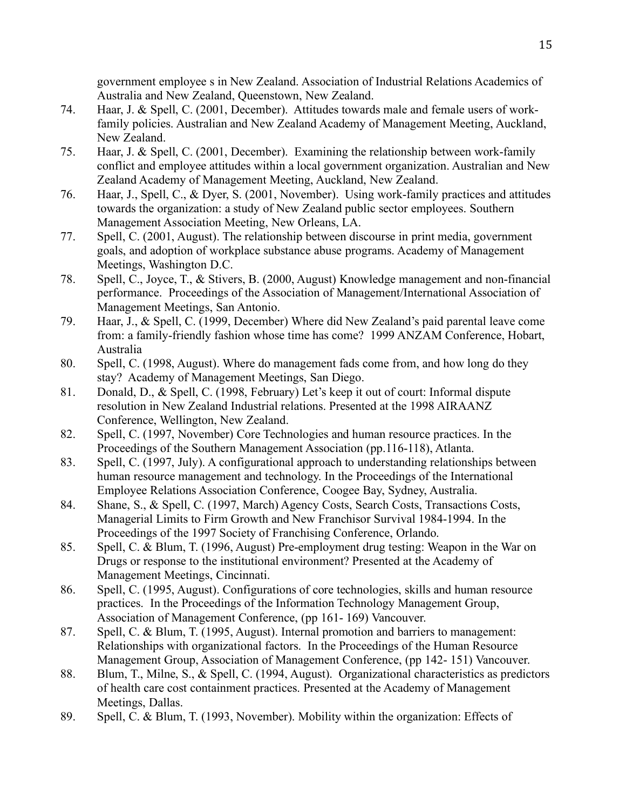government employee s in New Zealand. Association of Industrial Relations Academics of Australia and New Zealand, Queenstown, New Zealand.

- 74. Haar, J. & Spell, C. (2001, December). Attitudes towards male and female users of workfamily policies. Australian and New Zealand Academy of Management Meeting, Auckland, New Zealand.
- 75. Haar, J. & Spell, C. (2001, December). Examining the relationship between work-family conflict and employee attitudes within a local government organization. Australian and New Zealand Academy of Management Meeting, Auckland, New Zealand.
- 76. Haar, J., Spell, C., & Dyer, S. (2001, November). Using work-family practices and attitudes towards the organization: a study of New Zealand public sector employees. Southern Management Association Meeting, New Orleans, LA.
- 77. Spell, C. (2001, August). The relationship between discourse in print media, government goals, and adoption of workplace substance abuse programs. Academy of Management Meetings, Washington D.C.
- 78. Spell, C., Joyce, T., & Stivers, B. (2000, August) Knowledge management and non-financial performance. Proceedings of the Association of Management/International Association of Management Meetings, San Antonio.
- 79. Haar, J., & Spell, C. (1999, December) Where did New Zealand's paid parental leave come from: a family-friendly fashion whose time has come? 1999 ANZAM Conference, Hobart, Australia
- 80. Spell, C. (1998, August). Where do management fads come from, and how long do they stay? Academy of Management Meetings, San Diego.
- 81. Donald, D., & Spell, C. (1998, February) Let's keep it out of court: Informal dispute resolution in New Zealand Industrial relations. Presented at the 1998 AIRAANZ Conference, Wellington, New Zealand.
- 82. Spell, C. (1997, November) Core Technologies and human resource practices. In the Proceedings of the Southern Management Association (pp.116-118), Atlanta.
- 83. Spell, C. (1997, July). A configurational approach to understanding relationships between human resource management and technology. In the Proceedings of the International Employee Relations Association Conference, Coogee Bay, Sydney, Australia.
- 84. Shane, S., & Spell, C. (1997, March) Agency Costs, Search Costs, Transactions Costs, Managerial Limits to Firm Growth and New Franchisor Survival 1984-1994. In the Proceedings of the 1997 Society of Franchising Conference, Orlando.
- 85. Spell, C. & Blum, T. (1996, August) Pre-employment drug testing: Weapon in the War on Drugs or response to the institutional environment? Presented at the Academy of Management Meetings, Cincinnati.
- 86. Spell, C. (1995, August). Configurations of core technologies, skills and human resource practices. In the Proceedings of the Information Technology Management Group, Association of Management Conference, (pp 161- 169) Vancouver.
- 87. Spell, C. & Blum, T. (1995, August). Internal promotion and barriers to management: Relationships with organizational factors. In the Proceedings of the Human Resource Management Group, Association of Management Conference, (pp 142- 151) Vancouver.
- 88. Blum, T., Milne, S., & Spell, C. (1994, August). Organizational characteristics as predictors of health care cost containment practices. Presented at the Academy of Management Meetings, Dallas.
- 89. Spell, C. & Blum, T. (1993, November). Mobility within the organization: Effects of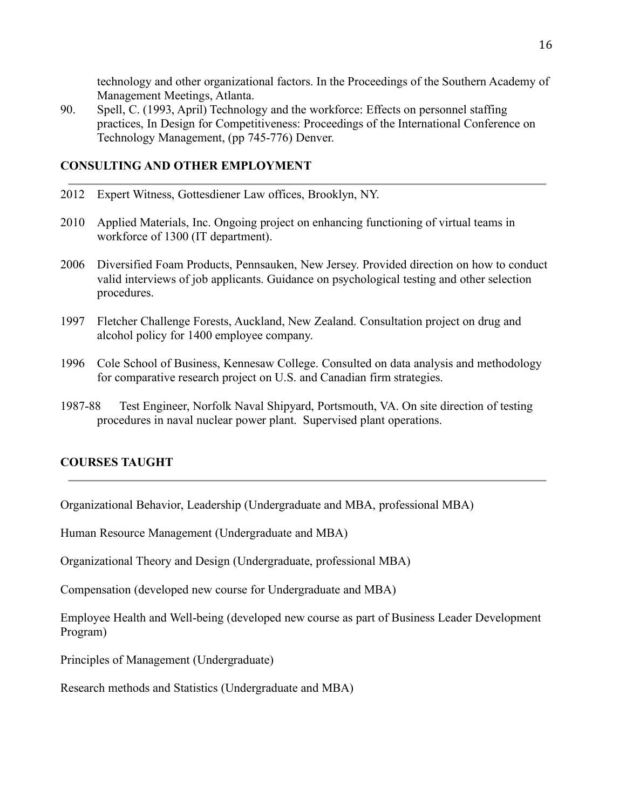technology and other organizational factors. In the Proceedings of the Southern Academy of Management Meetings, Atlanta.

90. Spell, C. (1993, April) Technology and the workforce: Effects on personnel staffing practices, In Design for Competitiveness: Proceedings of the International Conference on Technology Management, (pp 745-776) Denver.

# **CONSULTING AND OTHER EMPLOYMENT**

- 2012 Expert Witness, Gottesdiener Law offices, Brooklyn, NY.
- 2010 Applied Materials, Inc. Ongoing project on enhancing functioning of virtual teams in workforce of 1300 (IT department).
- 2006 Diversified Foam Products, Pennsauken, New Jersey. Provided direction on how to conduct valid interviews of job applicants. Guidance on psychological testing and other selection procedures.
- 1997 Fletcher Challenge Forests, Auckland, New Zealand. Consultation project on drug and alcohol policy for 1400 employee company.
- 1996 Cole School of Business, Kennesaw College. Consulted on data analysis and methodology for comparative research project on U.S. and Canadian firm strategies.
- 1987-88 Test Engineer, Norfolk Naval Shipyard, Portsmouth, VA. On site direction of testing procedures in naval nuclear power plant. Supervised plant operations.

# **COURSES TAUGHT**

Organizational Behavior, Leadership (Undergraduate and MBA, professional MBA)

Human Resource Management (Undergraduate and MBA)

Organizational Theory and Design (Undergraduate, professional MBA)

Compensation (developed new course for Undergraduate and MBA)

Employee Health and Well-being (developed new course as part of Business Leader Development Program)

Principles of Management (Undergraduate)

Research methods and Statistics (Undergraduate and MBA)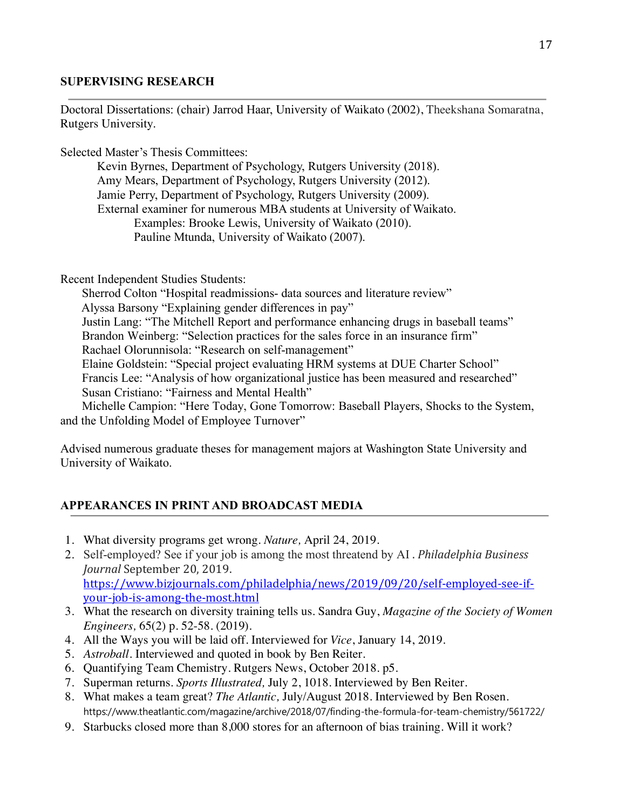## **SUPERVISING RESEARCH**

Doctoral Dissertations: (chair) Jarrod Haar, University of Waikato (2002), Theekshana Somaratna, Rutgers University.

Selected Master's Thesis Committees:

Kevin Byrnes, Department of Psychology, Rutgers University (2018). Amy Mears, Department of Psychology, Rutgers University (2012). Jamie Perry, Department of Psychology, Rutgers University (2009). External examiner for numerous MBA students at University of Waikato. Examples: Brooke Lewis, University of Waikato (2010). Pauline Mtunda, University of Waikato (2007).

Recent Independent Studies Students:

 Sherrod Colton "Hospital readmissions- data sources and literature review" Alyssa Barsony "Explaining gender differences in pay" Justin Lang: "The Mitchell Report and performance enhancing drugs in baseball teams" Brandon Weinberg: "Selection practices for the sales force in an insurance firm" Rachael Olorunnisola: "Research on self-management" Elaine Goldstein: "Special project evaluating HRM systems at DUE Charter School" Francis Lee: "Analysis of how organizational justice has been measured and researched" Susan Cristiano: "Fairness and Mental Health" Michelle Campion: "Here Today, Gone Tomorrow: Baseball Players, Shocks to the System,

and the Unfolding Model of Employee Turnover"

Advised numerous graduate theses for management majors at Washington State University and University of Waikato.

# **APPEARANCES IN PRINT AND BROADCAST MEDIA**

- 1. What diversity programs get wrong. *Nature,* April 24, 2019.
- 2. Self-employed? See if your job is among the most threatend by AI . *Philadelphia Business Journal* September 20, 2019. https://www.bizjournals.com/philadelphia/news/2019/09/20/self-employed-see-ifyour-job-is-among-the-most.html
- 3. What the research on diversity training tells us. Sandra Guy, *Magazine of the Society of Women Engineers,* 65(2) p. 52-58. (2019).
- 4. All the Ways you will be laid off. Interviewed for *Vice*, January 14, 2019.
- 5. *Astroball.* Interviewed and quoted in book by Ben Reiter.
- 6. Quantifying Team Chemistry. Rutgers News, October 2018. p5.
- 7. Superman returns. *Sports Illustrated,* July 2, 1018. Interviewed by Ben Reiter.
- 8. What makes a team great? *The Atlantic,* July/August 2018. Interviewed by Ben Rosen. https://www.theatlantic.com/magazine/archive/2018/07/finding-the-formula-for-team-chemistry/561722/
- 9. Starbucks closed more than 8,000 stores for an afternoon of bias training. Will it work?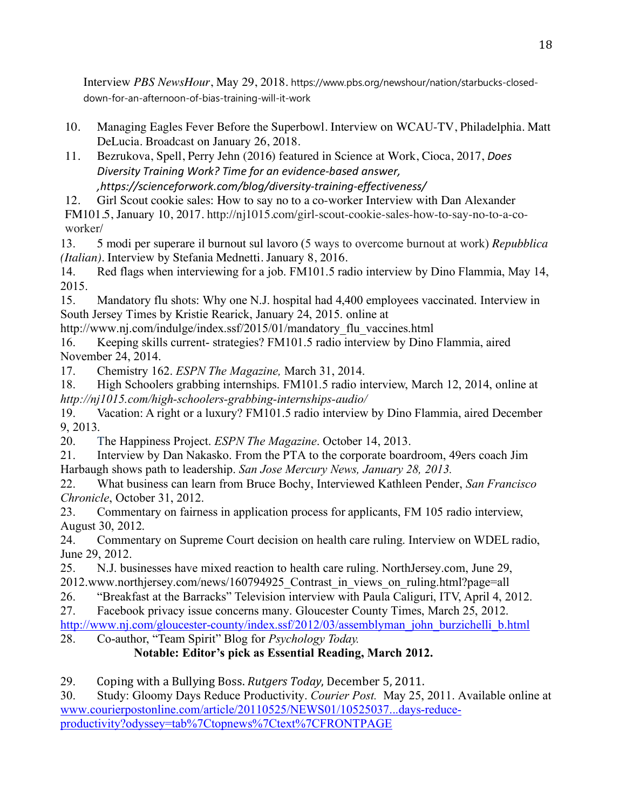Interview *PBS NewsHour*, May 29, 2018. https://www.pbs.org/newshour/nation/starbucks-closeddown-for-an-afternoon-of-bias-training-will-it-work

- 10. Managing Eagles Fever Before the Superbowl. Interview on WCAU-TV, Philadelphia. Matt DeLucia. Broadcast on January 26, 2018.
- 11. Bezrukova, Spell, Perry Jehn (2016) featured in Science at Work, Cioca, 2017, *Does Diversity Training Work? Time for an evidence-based answer, ,https://scienceforwork.com/blog/diversity-training-effectiveness/*

12. Girl Scout cookie sales: How to say no to a co-worker Interview with Dan Alexander

FM101.5, January 10, 2017. http://nj1015.com/girl-scout-cookie-sales-how-to-say-no-to-a-coworker/

13. 5 modi per superare il burnout sul lavoro (5 ways to overcome burnout at work) *Repubblica (Italian).* Interview by Stefania Mednetti. January 8, 2016.

14. Red flags when interviewing for a job. FM101.5 radio interview by Dino Flammia, May 14, 2015.

15. Mandatory flu shots: Why one N.J. hospital had 4,400 employees vaccinated. Interview in South Jersey Times by Kristie Rearick, January 24, 2015. online at

http://www.nj.com/indulge/index.ssf/2015/01/mandatory\_flu\_vaccines.html

16. Keeping skills current- strategies? FM101.5 radio interview by Dino Flammia, aired November 24, 2014.

17. Chemistry 162. *ESPN The Magazine,* March 31, 2014.

18. High Schoolers grabbing internships. FM101.5 radio interview, March 12, 2014, online at *http://nj1015.com/high-schoolers-grabbing-internships-audio/*

19. Vacation: A right or a luxury? FM101.5 radio interview by Dino Flammia, aired December 9, 2013.

20. The Happiness Project. *ESPN The Magazine*. October 14, 2013.

21. Interview by Dan Nakasko. From the PTA to the corporate boardroom, 49ers coach Jim Harbaugh shows path to leadership. *San Jose Mercury News, January 28, 2013.*

22. What business can learn from Bruce Bochy, Interviewed Kathleen Pender, *San Francisco Chronicle*, October 31, 2012.

23. Commentary on fairness in application process for applicants, FM 105 radio interview, August 30, 2012.

24. Commentary on Supreme Court decision on health care ruling. Interview on WDEL radio, June 29, 2012.

25. N.J. businesses have mixed reaction to health care ruling. NorthJersey.com, June 29,

2012.www.northjersey.com/news/160794925\_Contrast\_in\_views\_on\_ruling.html?page=all

26. "Breakfast at the Barracks" Television interview with Paula Caliguri, ITV, April 4, 2012.

27. Facebook privacy issue concerns many. Gloucester County Times, March 25, 2012.

http://www.nj.com/gloucester-county/index.ssf/2012/03/assemblyman\_john\_burzichelli\_b.html 28. Co-author, "Team Spirit" Blog for *Psychology Today.*

**Notable: Editor's pick as Essential Reading, March 2012.**

29. Coping with a Bullying Boss. *Rutgers Today*, December 5, 2011.

30. Study: Gloomy Days Reduce Productivity. *Courier Post.* May 25, 2011. Available online at www.courierpostonline.com/article/20110525/NEWS01/10525037...days-reduceproductivity?odyssey=tab%7Ctopnews%7Ctext%7CFRONTPAGE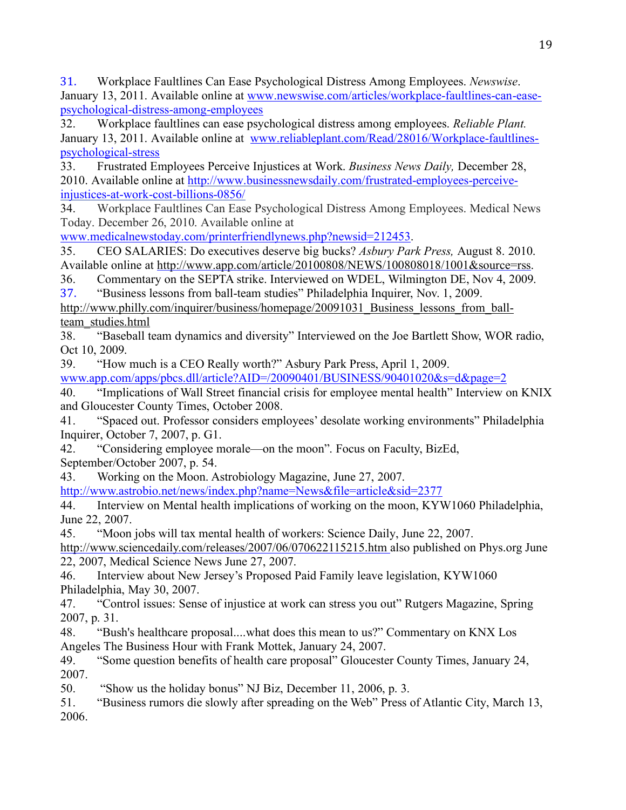31. Workplace Faultlines Can Ease Psychological Distress Among Employees. *Newswise*. January 13, 2011. Available online at www.newswise.com/articles/workplace-faultlines-can-easepsychological-distress-among-employees

32. Workplace faultlines can ease psychological distress among employees. *Reliable Plant.*  January 13, 2011. Available online at www.reliableplant.com/Read/28016/Workplace-faultlinespsychological-stress

33. Frustrated Employees Perceive Injustices at Work. *Business News Daily,* December 28, 2010. Available online at http://www.businessnewsdaily.com/frustrated-employees-perceiveinjustices-at-work-cost-billions-0856/

34. Workplace Faultlines Can Ease Psychological Distress Among Employees. Medical News Today. December 26, 2010. Available online at

www.medicalnewstoday.com/printerfriendlynews.php?newsid=212453.

35. CEO SALARIES: Do executives deserve big bucks? *Asbury Park Press,* August 8. 2010. Available online at http://www.app.com/article/20100808/NEWS/100808018/1001&source=rss.

36. Commentary on the SEPTA strike. Interviewed on WDEL, Wilmington DE, Nov 4, 2009.

37. "Business lessons from ball-team studies" Philadelphia Inquirer, Nov. 1, 2009.

http://www.philly.com/inquirer/business/homepage/20091031 Business lessons from ballteam\_studies.html

38. "Baseball team dynamics and diversity" Interviewed on the Joe Bartlett Show, WOR radio, Oct 10, 2009.

39. "How much is a CEO Really worth?" Asbury Park Press, April 1, 2009.

www.app.com/apps/pbcs.dll/article?AID=/20090401/BUSINESS/90401020&s=d&page=2

40. "Implications of Wall Street financial crisis for employee mental health" Interview on KNIX and Gloucester County Times, October 2008.

41. "Spaced out. Professor considers employees' desolate working environments" Philadelphia Inquirer, October 7, 2007, p. G1.

42. "Considering employee morale—on the moon". Focus on Faculty, BizEd, September/October 2007, p. 54.

43. Working on the Moon. Astrobiology Magazine, June 27, 2007.

http://www.astrobio.net/news/index.php?name=News&file=article&sid=2377

44. Interview on Mental health implications of working on the moon, KYW1060 Philadelphia, June 22, 2007.

45. "Moon jobs will tax mental health of workers: Science Daily, June 22, 2007.

http://www.sciencedaily.com/releases/2007/06/070622115215.htm also published on Phys.org June 22, 2007, Medical Science News June 27, 2007.

46. Interview about New Jersey's Proposed Paid Family leave legislation, KYW1060 Philadelphia, May 30, 2007.

47. "Control issues: Sense of injustice at work can stress you out" Rutgers Magazine, Spring 2007, p. 31.

48. "Bush's healthcare proposal....what does this mean to us?" Commentary on KNX Los Angeles The Business Hour with Frank Mottek, January 24, 2007.

49. "Some question benefits of health care proposal" Gloucester County Times, January 24, 2007.

50. "Show us the holiday bonus" NJ Biz, December 11, 2006, p. 3.

51. "Business rumors die slowly after spreading on the Web" Press of Atlantic City, March 13, 2006.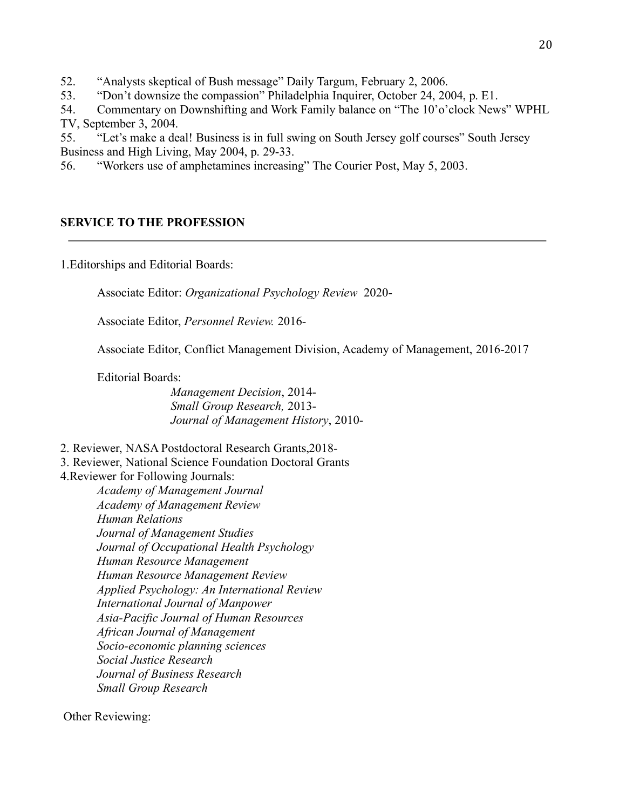52. "Analysts skeptical of Bush message" Daily Targum, February 2, 2006.

53. "Don't downsize the compassion" Philadelphia Inquirer, October 24, 2004, p. E1.

54. Commentary on Downshifting and Work Family balance on "The 10'o'clock News" WPHL TV, September 3, 2004.

55. "Let's make a deal! Business is in full swing on South Jersey golf courses" South Jersey Business and High Living, May 2004, p. 29-33.

56. "Workers use of amphetamines increasing" The Courier Post, May 5, 2003.

# **SERVICE TO THE PROFESSION**

1.Editorships and Editorial Boards:

Associate Editor: *Organizational Psychology Review* 2020-

Associate Editor, *Personnel Review.* 2016-

Associate Editor, Conflict Management Division, Academy of Management, 2016-2017

Editorial Boards:

*Management Decision*, 2014- *Small Group Research,* 2013- *Journal of Management History*, 2010-

2. Reviewer, NASA Postdoctoral Research Grants,2018-

3. Reviewer, National Science Foundation Doctoral Grants

4.Reviewer for Following Journals:

*Academy of Management Journal Academy of Management Review Human Relations Journal of Management Studies Journal of Occupational Health Psychology Human Resource Management Human Resource Management Review Applied Psychology: An International Review International Journal of Manpower Asia-Pacific Journal of Human Resources African Journal of Management Socio-economic planning sciences Social Justice Research Journal of Business Research Small Group Research*

Other Reviewing: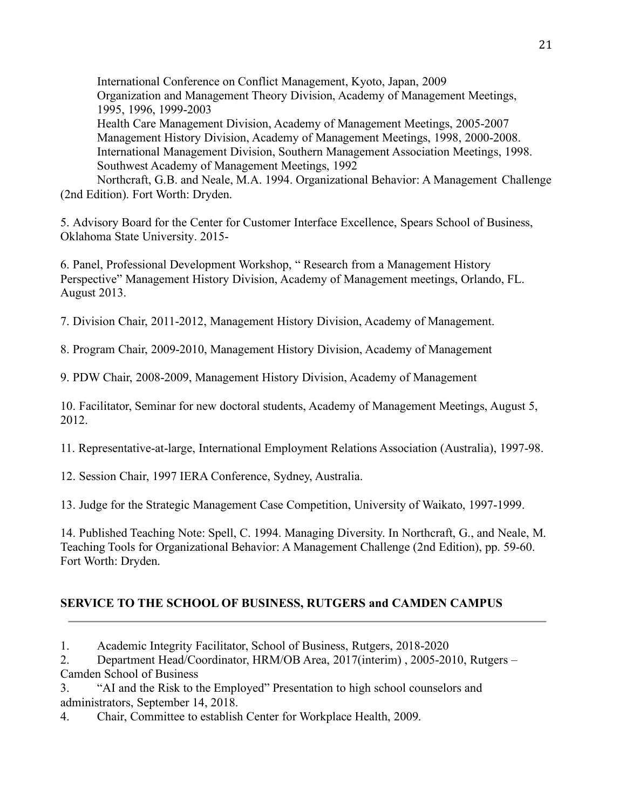International Conference on Conflict Management, Kyoto, Japan, 2009 Organization and Management Theory Division, Academy of Management Meetings, 1995, 1996, 1999-2003 Health Care Management Division, Academy of Management Meetings, 2005-2007 Management History Division, Academy of Management Meetings, 1998, 2000-2008. International Management Division, Southern Management Association Meetings, 1998. Southwest Academy of Management Meetings, 1992 Northcraft, G.B. and Neale, M.A. 1994. Organizational Behavior: A Management Challenge

(2nd Edition). Fort Worth: Dryden.

5. Advisory Board for the Center for Customer Interface Excellence, Spears School of Business, Oklahoma State University. 2015-

6. Panel, Professional Development Workshop, " Research from a Management History Perspective" Management History Division, Academy of Management meetings, Orlando, FL. August 2013.

7. Division Chair, 2011-2012, Management History Division, Academy of Management.

8. Program Chair, 2009-2010, Management History Division, Academy of Management

9. PDW Chair, 2008-2009, Management History Division, Academy of Management

10. Facilitator, Seminar for new doctoral students, Academy of Management Meetings, August 5, 2012.

11. Representative-at-large, International Employment Relations Association (Australia), 1997-98.

12. Session Chair, 1997 IERA Conference, Sydney, Australia.

13. Judge for the Strategic Management Case Competition, University of Waikato, 1997-1999.

14. Published Teaching Note: Spell, C. 1994. Managing Diversity. In Northcraft, G., and Neale, M. Teaching Tools for Organizational Behavior: A Management Challenge (2nd Edition), pp. 59-60. Fort Worth: Dryden.

# **SERVICE TO THE SCHOOL OF BUSINESS, RUTGERS and CAMDEN CAMPUS**

2. Department Head/Coordinator, HRM/OB Area, 2017(interim) , 2005-2010, Rutgers – Camden School of Business

3. "AI and the Risk to the Employed" Presentation to high school counselors and administrators, September 14, 2018.

4. Chair, Committee to establish Center for Workplace Health, 2009.

<sup>1.</sup> Academic Integrity Facilitator, School of Business, Rutgers, 2018-2020